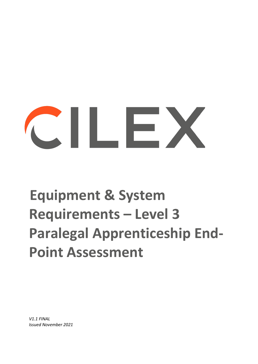# $\sim$  11  $\sim$  2

## **Equipment & System Requirements – Level 3 Paralegal Apprenticeship End-Point Assessment**

*V1.1 FINAL Issued November 2021*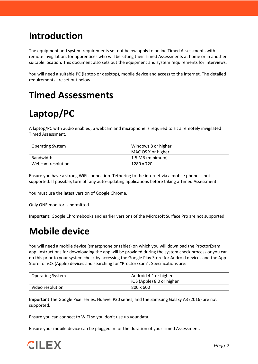#### **Introduction**

The equipment and system requirements set out below apply to online Timed Assessments with remote invigilation, for apprentices who will be sitting their Timed Assessments at home or in another suitable location. This document also sets out the equipment and system requirements for Interviews.

You will need a suitable PC (laptop or desktop), mobile device and access to the internet. The detailed requirements are set out below:

#### **Timed Assessments**

### **Laptop/PC**

A laptop/PC with audio enabled, a webcam and microphone is required to sit a remotely invigilated Timed Assessment.

| <b>Operating System</b> | Windows 8 or higher<br>MAC OS X or higher |
|-------------------------|-------------------------------------------|
| Bandwidth               | 1.5 MB (minimum)                          |
| Webcam resolution       | 1280 x 720                                |

Ensure you have a strong WiFi connection. Tethering to the internet via a mobile phone is not supported. If possible, turn off any auto-updating applications before taking a Timed Assessment.

You must use the latest version of Google Chrome.

Only ONE monitor is permitted.

**Important:** Google Chromebooks and earlier versions of the Microsoft Surface Pro are not supported.

#### **Mobile device**

You will need a mobile device (smartphone or tablet) on which you will download the ProctorExam app. Instructions for downloading the app will be provided during the system check process or you can do this prior to your system check by accessing the Google Play Store for Android devices and the App Store for iOS (Apple) devices and searching for "ProctorExam". Specifications are:

| <b>Operating System</b> | Android 4.1 or higher     |
|-------------------------|---------------------------|
|                         | iOS (Apple) 8.0 or higher |
| Video resolution        | 800 x 600                 |

**Important** The Google Pixel series, Huawei P30 series, and the Samsung Galaxy A3 (2016) are not supported.

Ensure you can connect to WiFi so you don't use up your data.

Ensure your mobile device can be plugged in for the duration of your Timed Assessment.